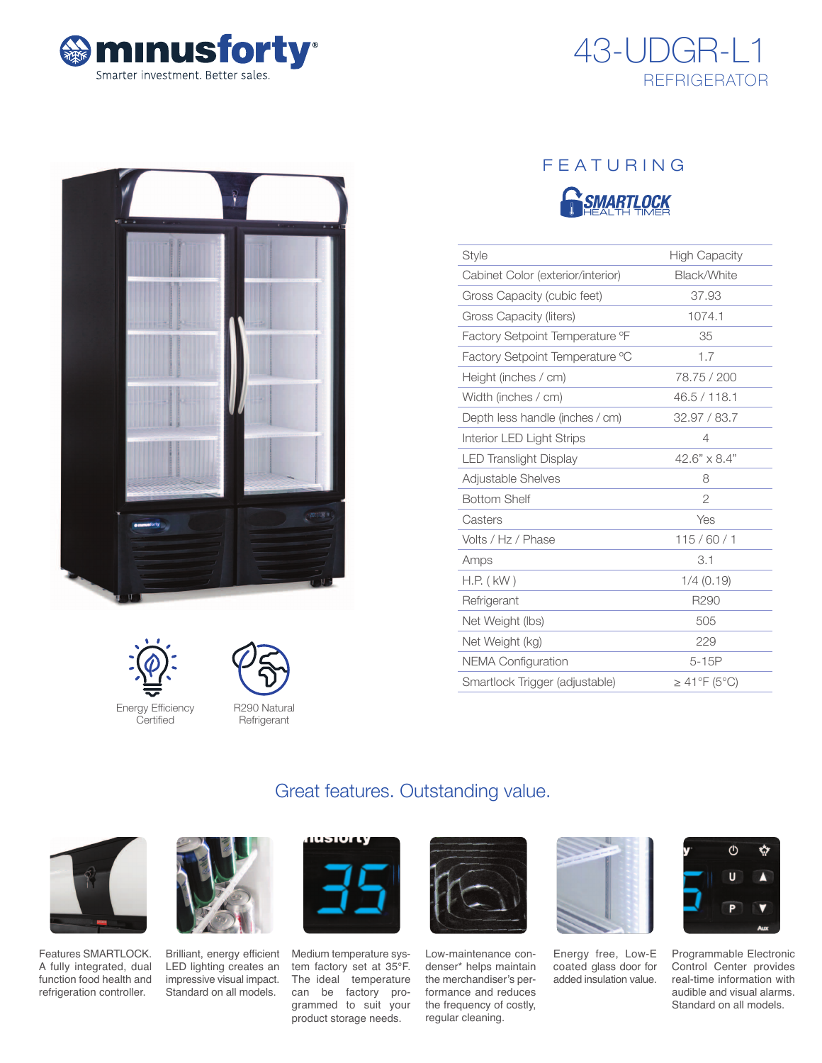









**Refrigerant** 

# FEATURING



| Style                             | <b>High Capacity</b>           |
|-----------------------------------|--------------------------------|
| Cabinet Color (exterior/interior) | Black/White                    |
| Gross Capacity (cubic feet)       | 37.93                          |
| Gross Capacity (liters)           | 1074.1                         |
| Factory Setpoint Temperature °F   | 35                             |
| Factory Setpoint Temperature °C   | 1.7                            |
| Height (inches / cm)              | 78.75 / 200                    |
| Width (inches / cm)               | 46.5 / 118.1                   |
| Depth less handle (inches / cm)   | 32.97 / 83.7                   |
| Interior LED Light Strips         | 4                              |
| <b>LED Translight Display</b>     | $42.6" \times 8.4"$            |
| Adjustable Shelves                | 8                              |
| <b>Bottom Shelf</b>               | $\overline{2}$                 |
| Casters                           | Yes                            |
| Volts / Hz / Phase                | 115/60/1                       |
| Amps                              | 3.1                            |
| $H.P.$ ( $kW$ )                   | $1/4$ (0.19)                   |
| Refrigerant                       | R290                           |
| Net Weight (lbs)                  | 505                            |
| Net Weight (kg)                   | 229                            |
| <b>NEMA Configuration</b>         | $5-15P$                        |
| Smartlock Trigger (adjustable)    | $\geq 41^{\circ}F(5^{\circ}C)$ |

# Great features. Outstanding value.



Features SMARTLOCK. A fully integrated, dual function food health and refrigeration controller.



Brilliant, energy efficient LED lighting creates an impressive visual impact. Standard on all models.



Medium temperature system factory set at 35°F. The ideal temperature can be factory programmed to suit your product storage needs.



Low-maintenance condenser\* helps maintain the merchandiser's performance and reduces the frequency of costly, regular cleaning.



Energy free, Low-E coated glass door for added insulation value.



Programmable Electronic Control Center provides real-time information with audible and visual alarms. Standard on all models.